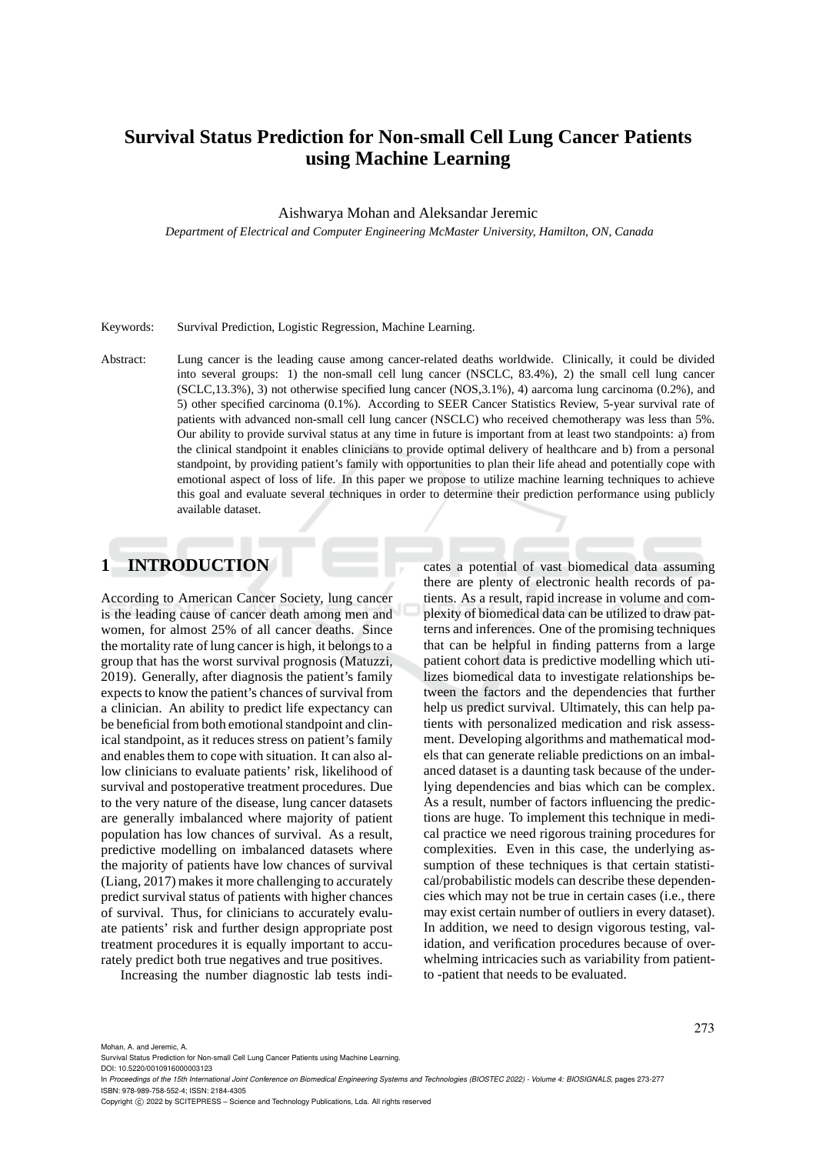# **Survival Status Prediction for Non-small Cell Lung Cancer Patients using Machine Learning**

Aishwarya Mohan and Aleksandar Jeremic

*Department of Electrical and Computer Engineering McMaster University, Hamilton, ON, Canada*

#### Keywords: Survival Prediction, Logistic Regression, Machine Learning.

Abstract: Lung cancer is the leading cause among cancer-related deaths worldwide. Clinically, it could be divided into several groups: 1) the non-small cell lung cancer (NSCLC, 83.4%), 2) the small cell lung cancer (SCLC,13.3%), 3) not otherwise specified lung cancer (NOS,3.1%), 4) aarcoma lung carcinoma (0.2%), and 5) other specified carcinoma (0.1%). According to SEER Cancer Statistics Review, 5-year survival rate of patients with advanced non-small cell lung cancer (NSCLC) who received chemotherapy was less than 5%. Our ability to provide survival status at any time in future is important from at least two standpoints: a) from the clinical standpoint it enables clinicians to provide optimal delivery of healthcare and b) from a personal standpoint, by providing patient's family with opportunities to plan their life ahead and potentially cope with emotional aspect of loss of life. In this paper we propose to utilize machine learning techniques to achieve this goal and evaluate several techniques in order to determine their prediction performance using publicly available dataset.

# **1 INTRODUCTION**

According to American Cancer Society, lung cancer is the leading cause of cancer death among men and women, for almost 25% of all cancer deaths. Since the mortality rate of lung cancer is high, it belongs to a group that has the worst survival prognosis (Matuzzi, 2019). Generally, after diagnosis the patient's family expects to know the patient's chances of survival from a clinician. An ability to predict life expectancy can be beneficial from both emotional standpoint and clinical standpoint, as it reduces stress on patient's family and enables them to cope with situation. It can also allow clinicians to evaluate patients' risk, likelihood of survival and postoperative treatment procedures. Due to the very nature of the disease, lung cancer datasets are generally imbalanced where majority of patient population has low chances of survival. As a result, predictive modelling on imbalanced datasets where the majority of patients have low chances of survival (Liang, 2017) makes it more challenging to accurately predict survival status of patients with higher chances of survival. Thus, for clinicians to accurately evaluate patients' risk and further design appropriate post treatment procedures it is equally important to accurately predict both true negatives and true positives.

Increasing the number diagnostic lab tests indi-

cates a potential of vast biomedical data assuming there are plenty of electronic health records of patients. As a result, rapid increase in volume and complexity of biomedical data can be utilized to draw patterns and inferences. One of the promising techniques that can be helpful in finding patterns from a large patient cohort data is predictive modelling which utilizes biomedical data to investigate relationships between the factors and the dependencies that further help us predict survival. Ultimately, this can help patients with personalized medication and risk assessment. Developing algorithms and mathematical models that can generate reliable predictions on an imbalanced dataset is a daunting task because of the underlying dependencies and bias which can be complex. As a result, number of factors influencing the predictions are huge. To implement this technique in medical practice we need rigorous training procedures for complexities. Even in this case, the underlying assumption of these techniques is that certain statistical/probabilistic models can describe these dependencies which may not be true in certain cases (i.e., there may exist certain number of outliers in every dataset). In addition, we need to design vigorous testing, validation, and verification procedures because of overwhelming intricacies such as variability from patientto -patient that needs to be evaluated.

Mohan, A. and Jeremic, A.

Survival Status Prediction for Non-small Cell Lung Cancer Patients using Machine Learning.

DOI: 10.5220/0010916000003123

In *Proceedings of the 15th International Joint Conference on Biomedical Engineering Systems and Technologies (BIOSTEC 2022) - Volume 4: BIOSIGNALS*, pages 273-277 ISBN: 978-989-758-552-4; ISSN: 2184-4305

Copyright (C) 2022 by SCITEPRESS - Science and Technology Publications, Lda. All rights reserved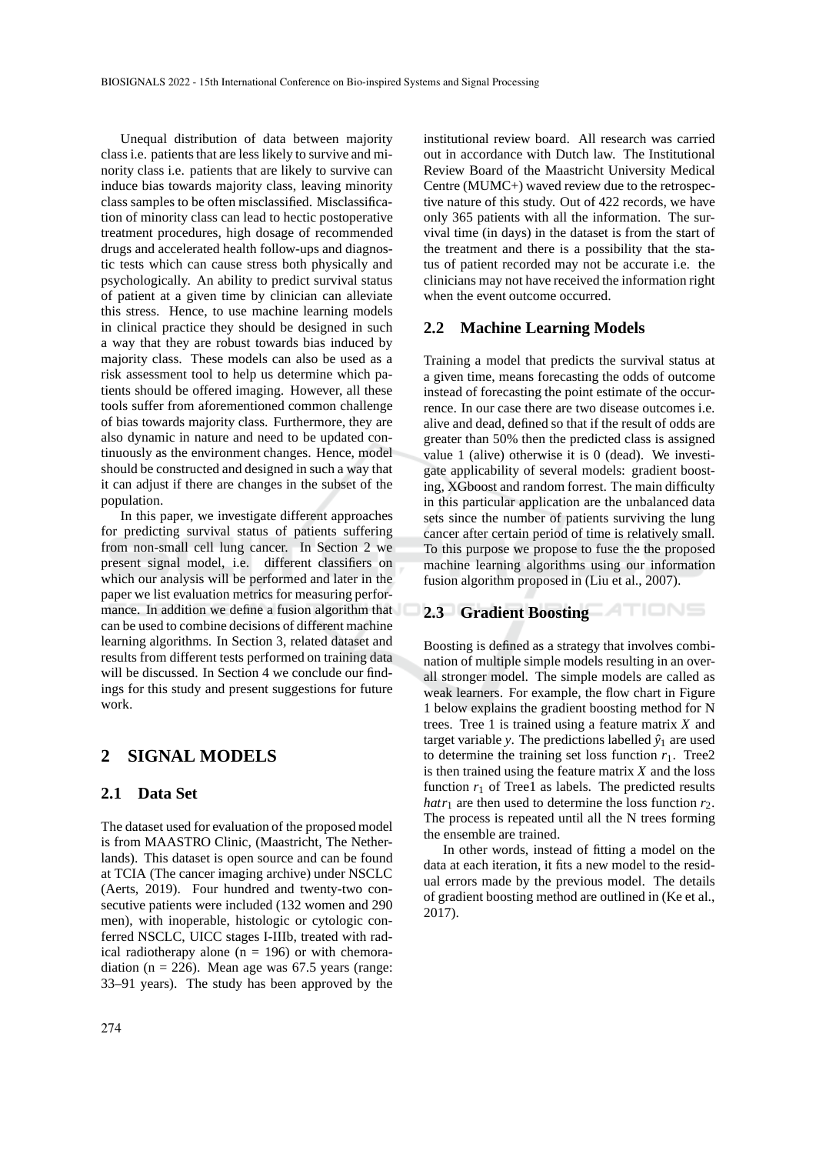Unequal distribution of data between majority class i.e. patients that are less likely to survive and minority class i.e. patients that are likely to survive can induce bias towards majority class, leaving minority class samples to be often misclassified. Misclassification of minority class can lead to hectic postoperative treatment procedures, high dosage of recommended drugs and accelerated health follow-ups and diagnostic tests which can cause stress both physically and psychologically. An ability to predict survival status of patient at a given time by clinician can alleviate this stress. Hence, to use machine learning models in clinical practice they should be designed in such a way that they are robust towards bias induced by majority class. These models can also be used as a risk assessment tool to help us determine which patients should be offered imaging. However, all these tools suffer from aforementioned common challenge of bias towards majority class. Furthermore, they are also dynamic in nature and need to be updated continuously as the environment changes. Hence, model should be constructed and designed in such a way that it can adjust if there are changes in the subset of the population.

In this paper, we investigate different approaches for predicting survival status of patients suffering from non-small cell lung cancer. In Section 2 we present signal model, i.e. different classifiers on which our analysis will be performed and later in the paper we list evaluation metrics for measuring performance. In addition we define a fusion algorithm that can be used to combine decisions of different machine learning algorithms. In Section 3, related dataset and results from different tests performed on training data will be discussed. In Section 4 we conclude our findings for this study and present suggestions for future work.

# **2 SIGNAL MODELS**

#### **2.1 Data Set**

The dataset used for evaluation of the proposed model is from MAASTRO Clinic, (Maastricht, The Netherlands). This dataset is open source and can be found at TCIA (The cancer imaging archive) under NSCLC (Aerts, 2019). Four hundred and twenty-two consecutive patients were included (132 women and 290 men), with inoperable, histologic or cytologic conferred NSCLC, UICC stages I-IIIb, treated with radical radiotherapy alone ( $n = 196$ ) or with chemoradiation ( $n = 226$ ). Mean age was 67.5 years (range: 33–91 years). The study has been approved by the institutional review board. All research was carried out in accordance with Dutch law. The Institutional Review Board of the Maastricht University Medical Centre (MUMC+) waved review due to the retrospective nature of this study. Out of 422 records, we have only 365 patients with all the information. The survival time (in days) in the dataset is from the start of the treatment and there is a possibility that the status of patient recorded may not be accurate i.e. the clinicians may not have received the information right when the event outcome occurred.

# **2.2 Machine Learning Models**

Training a model that predicts the survival status at a given time, means forecasting the odds of outcome instead of forecasting the point estimate of the occurrence. In our case there are two disease outcomes i.e. alive and dead, defined so that if the result of odds are greater than 50% then the predicted class is assigned value 1 (alive) otherwise it is 0 (dead). We investigate applicability of several models: gradient boosting, XGboost and random forrest. The main difficulty in this particular application are the unbalanced data sets since the number of patients surviving the lung cancer after certain period of time is relatively small. To this purpose we propose to fuse the the proposed machine learning algorithms using our information fusion algorithm proposed in (Liu et al., 2007).

# **2.3 Gradient Boosting**

Boosting is defined as a strategy that involves combination of multiple simple models resulting in an overall stronger model. The simple models are called as weak learners. For example, the flow chart in Figure 1 below explains the gradient boosting method for N trees. Tree 1 is trained using a feature matrix *X* and target variable *y*. The predictions labelled  $\hat{y}_1$  are used to determine the training set loss function  $r_1$ . Tree2 is then trained using the feature matrix *X* and the loss function  $r_1$  of Tree1 as labels. The predicted results *hatr*<sub>1</sub> are then used to determine the loss function  $r_2$ . The process is repeated until all the N trees forming the ensemble are trained.

In other words, instead of fitting a model on the data at each iteration, it fits a new model to the residual errors made by the previous model. The details of gradient boosting method are outlined in (Ke et al., 2017).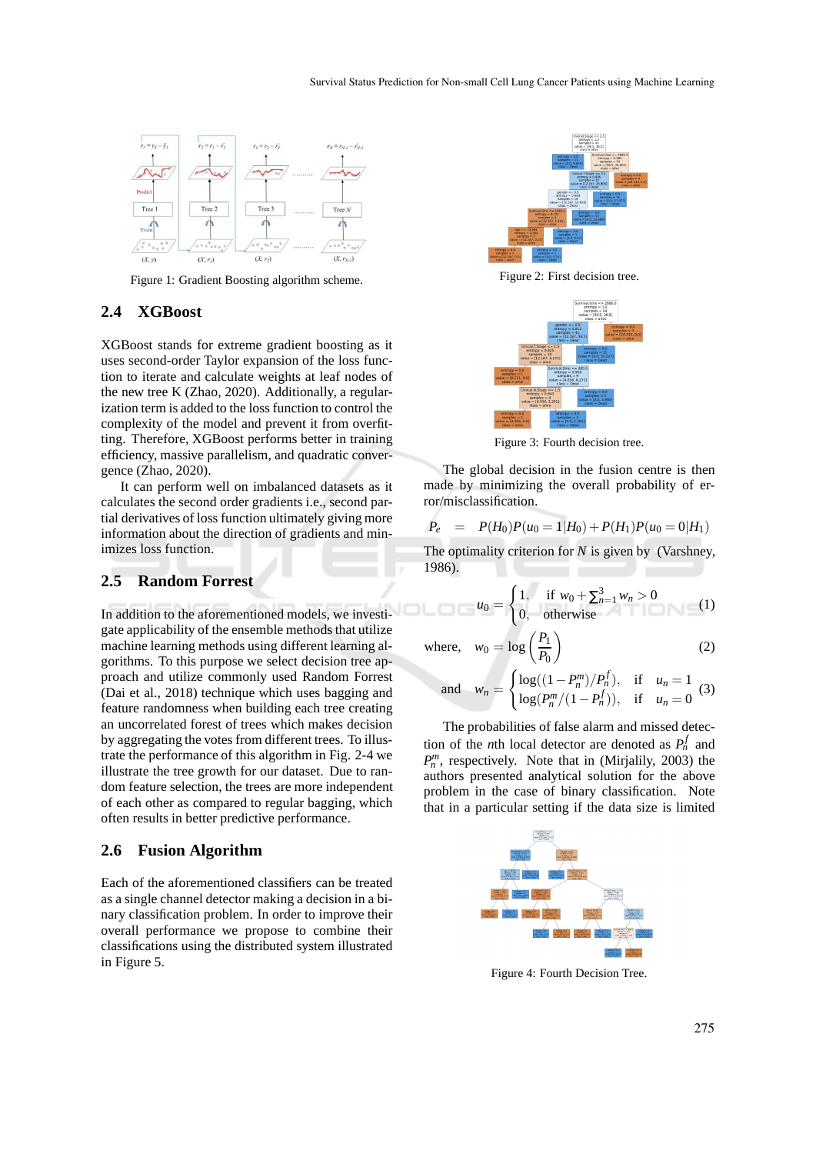

Figure 1: Gradient Boosting algorithm scheme.

### **2.4 XGBoost**

XGBoost stands for extreme gradient boosting as it uses second-order Taylor expansion of the loss function to iterate and calculate weights at leaf nodes of the new tree K (Zhao, 2020). Additionally, a regularization term is added to the loss function to control the complexity of the model and prevent it from overfitting. Therefore, XGBoost performs better in training efficiency, massive parallelism, and quadratic convergence (Zhao, 2020).

It can perform well on imbalanced datasets as it calculates the second order gradients i.e., second partial derivatives of loss function ultimately giving more information about the direction of gradients and minimizes loss function.

#### **2.5 Random Forrest**

In addition to the aforementioned models, we investigate applicability of the ensemble methods that utilize machine learning methods using different learning algorithms. To this purpose we select decision tree approach and utilize commonly used Random Forrest (Dai et al., 2018) technique which uses bagging and feature randomness when building each tree creating an uncorrelated forest of trees which makes decision by aggregating the votes from different trees. To illustrate the performance of this algorithm in Fig. 2-4 we illustrate the tree growth for our dataset. Due to random feature selection, the trees are more independent of each other as compared to regular bagging, which often results in better predictive performance.

#### **2.6 Fusion Algorithm**

Each of the aforementioned classifiers can be treated as a single channel detector making a decision in a binary classification problem. In order to improve their overall performance we propose to combine their classifications using the distributed system illustrated in Figure 5.



Figure 2: First decision tree.



Figure 3: Fourth decision tree.

The global decision in the fusion centre is then made by minimizing the overall probability of error/misclassification.

$$
P_e = P(H_0)P(u_0 = 1|H_0) + P(H_1)P(u_0 = 0|H_1)
$$

The optimality criterion for *N* is given by (Varshney, 1986).

$$
u_0 = \begin{cases} 1, & \text{if } w_0 + \sum_{n=1}^3 w_n > 0 \\ 0, & \text{otherwise} \end{cases} \tag{1}
$$

where, 
$$
w_0 = \log \left( \frac{P_1}{P_0} \right)
$$

and 
$$
w_n = \begin{cases} \log((1 - P_n^m)/P_n^f), & \text{if } u_n = 1 \\ \log(P_n^m/(1 - P_n^f)), & \text{if } u_n = 0 \end{cases}
$$
 (3)

The probabilities of false alarm and missed detection of the *n*th local detector are denoted as  $P_n^f$  and  $P_n^m$ , respectively. Note that in (Mirjalily, 2003) the authors presented analytical solution for the above problem in the case of binary classification. Note that in a particular setting if the data size is limited



Figure 4: Fourth Decision Tree.

(2)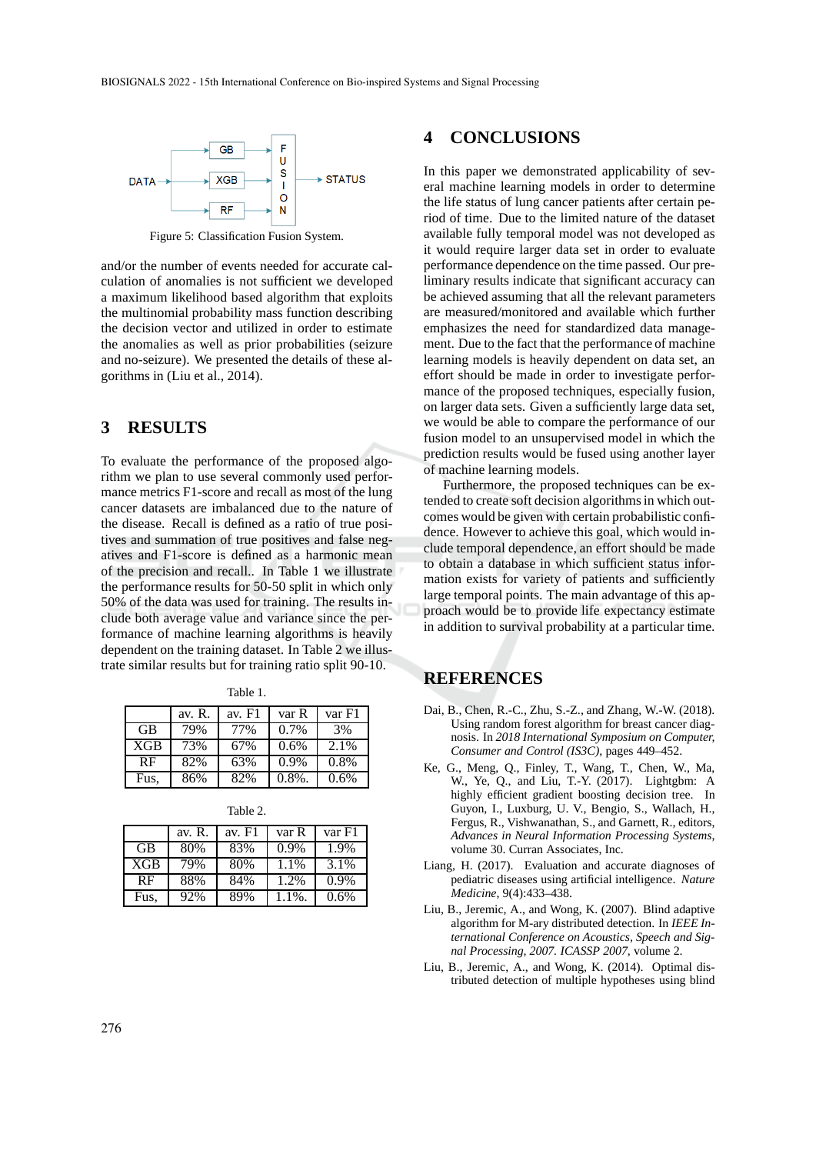

Figure 5: Classification Fusion System.

and/or the number of events needed for accurate calculation of anomalies is not sufficient we developed a maximum likelihood based algorithm that exploits the multinomial probability mass function describing the decision vector and utilized in order to estimate the anomalies as well as prior probabilities (seizure and no-seizure). We presented the details of these algorithms in (Liu et al., 2014).

# **3 RESULTS**

To evaluate the performance of the proposed algorithm we plan to use several commonly used performance metrics F1-score and recall as most of the lung cancer datasets are imbalanced due to the nature of the disease. Recall is defined as a ratio of true positives and summation of true positives and false negatives and F1-score is defined as a harmonic mean of the precision and recall.. In Table 1 we illustrate the performance results for 50-50 split in which only 50% of the data was used for training. The results include both average value and variance since the performance of machine learning algorithms is heavily dependent on the training dataset. In Table 2 we illustrate similar results but for training ratio split 90-10.

Table 1.

|            | av. R. | av. $F1$ | var R     | var F1 |
|------------|--------|----------|-----------|--------|
| <b>GB</b>  | 79%    | 77%      | $0.7\%$   | 3%     |
| <b>XGB</b> | 73%    | 67%      | 0.6%      | 2.1%   |
| RF         | 82%    | 63%      | $0.9\%$   | 0.8%   |
| Fus.       | 86%    | 82%      | $0.8\%$ . | 0.6%   |

Table 2.

|           | av. R. | av. F1 | var R     | var F1  |
|-----------|--------|--------|-----------|---------|
| <b>GB</b> | 80%    | 83%    | 0.9%      | 1.9%    |
| XGB       | 79%    | 80%    | 1.1%      | 3.1%    |
| RF        | 88%    | 84%    | 1.2%      | $0.9\%$ |
| Fus.      | 92%    | 89%    | $1.1\%$ . | 0.6%    |

#### **4 CONCLUSIONS**

In this paper we demonstrated applicability of several machine learning models in order to determine the life status of lung cancer patients after certain period of time. Due to the limited nature of the dataset available fully temporal model was not developed as it would require larger data set in order to evaluate performance dependence on the time passed. Our preliminary results indicate that significant accuracy can be achieved assuming that all the relevant parameters are measured/monitored and available which further emphasizes the need for standardized data management. Due to the fact that the performance of machine learning models is heavily dependent on data set, an effort should be made in order to investigate performance of the proposed techniques, especially fusion, on larger data sets. Given a sufficiently large data set, we would be able to compare the performance of our fusion model to an unsupervised model in which the prediction results would be fused using another layer of machine learning models.

Furthermore, the proposed techniques can be extended to create soft decision algorithms in which outcomes would be given with certain probabilistic confidence. However to achieve this goal, which would include temporal dependence, an effort should be made to obtain a database in which sufficient status information exists for variety of patients and sufficiently large temporal points. The main advantage of this approach would be to provide life expectancy estimate in addition to survival probability at a particular time.

# **REFERENCES**

- Dai, B., Chen, R.-C., Zhu, S.-Z., and Zhang, W.-W. (2018). Using random forest algorithm for breast cancer diagnosis. In *2018 International Symposium on Computer, Consumer and Control (IS3C)*, pages 449–452.
- Ke, G., Meng, Q., Finley, T., Wang, T., Chen, W., Ma, W., Ye, Q., and Liu, T.-Y. (2017). Lightgbm: A highly efficient gradient boosting decision tree. In Guyon, I., Luxburg, U. V., Bengio, S., Wallach, H., Fergus, R., Vishwanathan, S., and Garnett, R., editors, *Advances in Neural Information Processing Systems*, volume 30. Curran Associates, Inc.
- Liang, H. (2017). Evaluation and accurate diagnoses of pediatric diseases using artificial intelligence. *Nature Medicine*, 9(4):433–438.
- Liu, B., Jeremic, A., and Wong, K. (2007). Blind adaptive algorithm for M-ary distributed detection. In *IEEE International Conference on Acoustics, Speech and Signal Processing, 2007. ICASSP 2007*, volume 2.
- Liu, B., Jeremic, A., and Wong, K. (2014). Optimal distributed detection of multiple hypotheses using blind